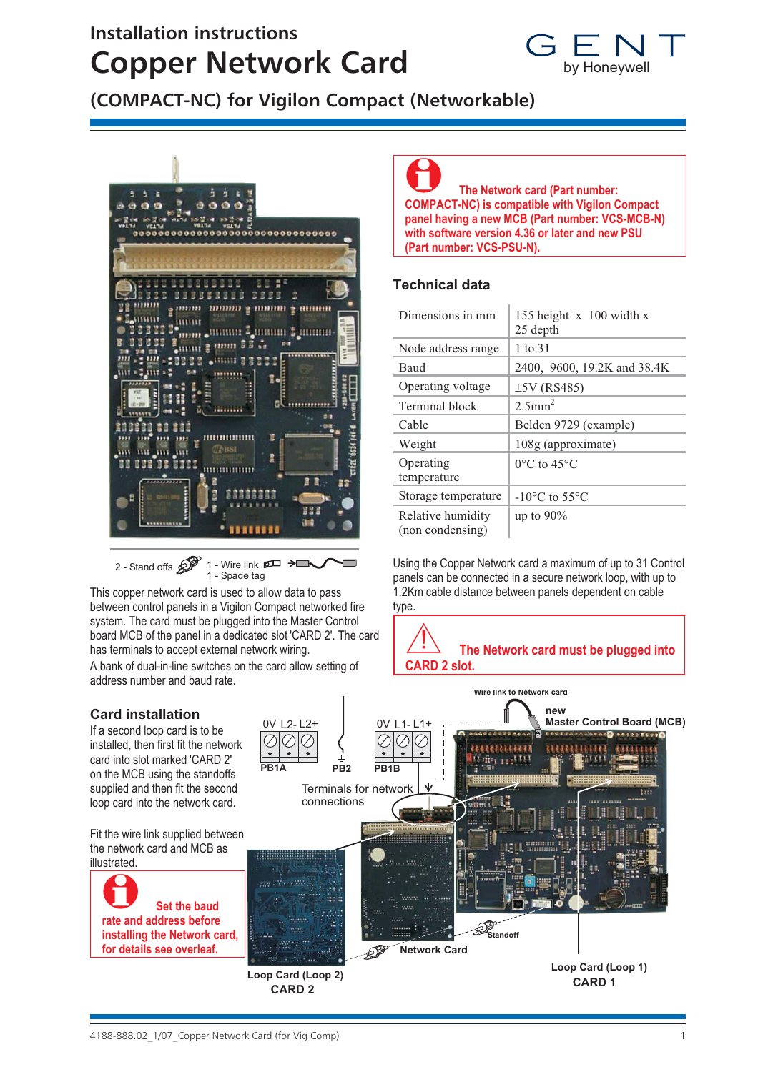# **Installation instructions Copper Network Card**



**(COMPACT-NC) for Vigilon Compact (Networkable)**



2 - Stand offs  $\mathscr{D}$  1 - Wire link  $\mathscr{D}$   $\rightarrow$ 1 - Spade tag

This copper network card is used to allow data to pass between control panels in a Vigilon Compact networked fire system. The card must be plugged into the Master Control board MCB of the panel in a dedicated slot 'CARD 2'. The card has terminals to accept external network wiring. A bank of dual-in-line switches on the card allow setting of address number and baud rate.

### 0 **The Network card (Part number: COMPACT-NC) is compatible with Vigilon Compact panel having a new MCB (Part number: VCS-MCB-N) with software version 4.36 or later and new PSU (Part number: VCS-PSU-N).**

## **Technical data**

| Dimensions in mm                      | 155 height $x$ 100 width x<br>25 depth |
|---------------------------------------|----------------------------------------|
| Node address range                    | 1 to 31                                |
| Baud                                  | 2400, 9600, 19.2K and 38.4K            |
| Operating voltage                     | $±5V$ (RS485)                          |
| Terminal block                        | $2.5$ mm <sup>2</sup>                  |
| Cable                                 | Belden 9729 (example)                  |
| Weight                                | 108g (approximate)                     |
| Operating<br>temperature              | $0^{\circ}$ C to 45 $^{\circ}$ C       |
| Storage temperature                   | $-10^{\circ}$ C to 55 $^{\circ}$ C     |
| Relative humidity<br>(non condensing) | up to $90\%$                           |

Using the Copper Network card a maximum of up to 31 Control panels can be connected in a secure network loop, with up to 1.2Km cable distance between panels dependent on cable type.